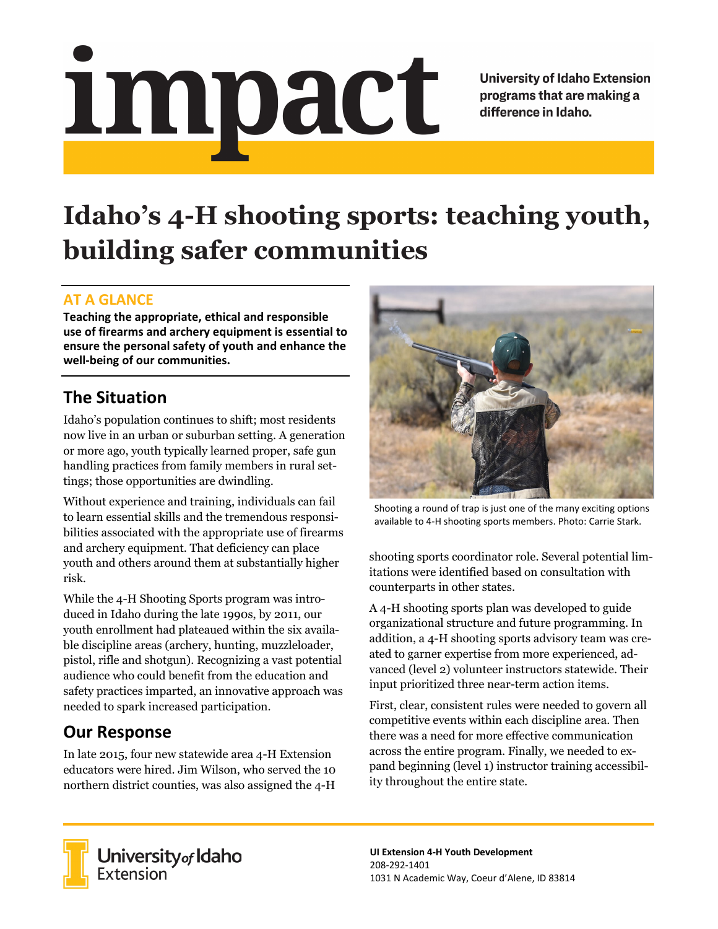# <u>impact</u>

**University of Idaho Extension** programs that are making a difference in Idaho.

# **Idaho's 4-H shooting sports: teaching youth, building safer communities**

### **AT A GLANCE**

**Teaching the appropriate, ethical and responsible use of firearms and archery equipment is essential to ensure the personal safety of youth and enhance the well-being of our communities.**

# **The Situation**

Idaho's population continues to shift; most residents now live in an urban or suburban setting. A generation or more ago, youth typically learned proper, safe gun handling practices from family members in rural settings; those opportunities are dwindling.

Without experience and training, individuals can fail to learn essential skills and the tremendous responsibilities associated with the appropriate use of firearms and archery equipment. That deficiency can place youth and others around them at substantially higher risk.

While the 4-H Shooting Sports program was introduced in Idaho during the late 1990s, by 2011, our youth enrollment had plateaued within the six available discipline areas (archery, hunting, muzzleloader, pistol, rifle and shotgun). Recognizing a vast potential audience who could benefit from the education and safety practices imparted, an innovative approach was needed to spark increased participation.

## **Our Response**

In late 2015, four new statewide area 4-H Extension educators were hired. Jim Wilson, who served the 10 northern district counties, was also assigned the 4-H



Shooting a round of trap is just one of the many exciting options available to 4-H shooting sports members. Photo: Carrie Stark.

shooting sports coordinator role. Several potential limitations were identified based on consultation with counterparts in other states.

A 4-H shooting sports plan was developed to guide organizational structure and future programming. In addition, a 4-H shooting sports advisory team was created to garner expertise from more experienced, advanced (level 2) volunteer instructors statewide. Their input prioritized three near-term action items.

First, clear, consistent rules were needed to govern all competitive events within each discipline area. Then there was a need for more effective communication across the entire program. Finally, we needed to expand beginning (level 1) instructor training accessibility throughout the entire state.



University of Idaho<br>Extension

**UI Extension 4-H Youth Development** 208-292-1401 1031 N Academic Way, Coeur d'Alene, ID 83814